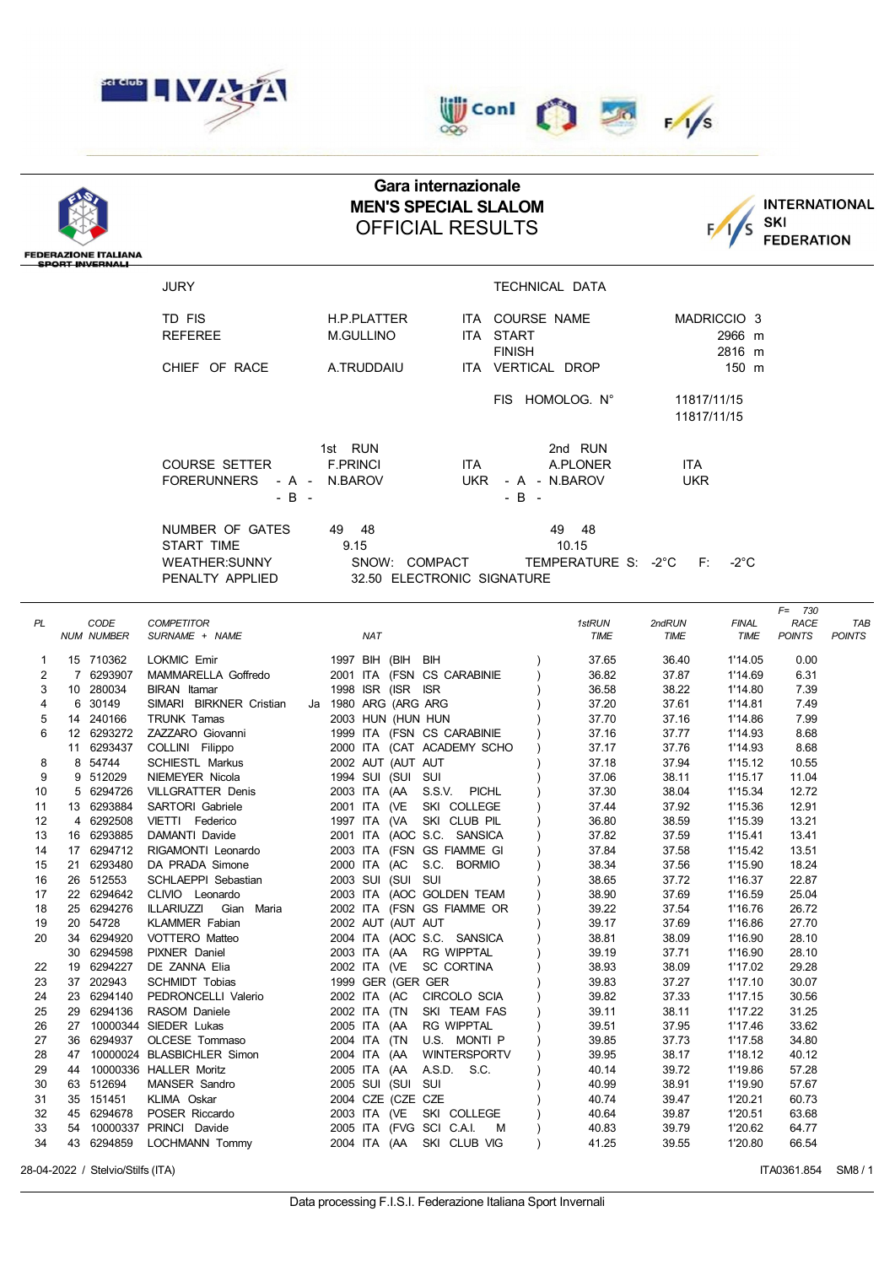

## **UD** Conl  $\frac{1}{\sqrt{6}}$   $\frac{1}{\sqrt{5}}$  $\infty$

## **Gara internazionale MEN'S SPECIAL SLALOM** OFFICIAL RESULTS



| <b>FEDERAZIONE ITALIANA</b><br><b>SPORT INVERNALI</b> |                          |                                              |                                                                     |                         |                                      |                                |  |  |  |  |  |  |
|-------------------------------------------------------|--------------------------|----------------------------------------------|---------------------------------------------------------------------|-------------------------|--------------------------------------|--------------------------------|--|--|--|--|--|--|
|                                                       |                          | <b>JURY</b>                                  |                                                                     | TECHNICAL DATA          |                                      |                                |  |  |  |  |  |  |
|                                                       |                          | TD FIS                                       | <b>H.P.PLATTER</b>                                                  | ITA COURSE NAME         | MADRICCIO <sub>3</sub>               |                                |  |  |  |  |  |  |
|                                                       |                          | <b>REFEREE</b>                               | ITA START<br><b>M.GULLINO</b>                                       |                         | 2966 m                               |                                |  |  |  |  |  |  |
|                                                       |                          |                                              |                                                                     | <b>FINISH</b>           | 2816 m                               |                                |  |  |  |  |  |  |
|                                                       |                          | CHIEF OF RACE                                | A.TRUDDAIU                                                          | ITA VERTICAL DROP       | 150 m                                |                                |  |  |  |  |  |  |
|                                                       |                          |                                              |                                                                     |                         |                                      |                                |  |  |  |  |  |  |
|                                                       |                          |                                              |                                                                     | FIS HOMOLOG. N°         | 11817/11/15<br>11817/11/15           |                                |  |  |  |  |  |  |
|                                                       |                          |                                              | 1st RUN                                                             | 2nd RUN                 |                                      |                                |  |  |  |  |  |  |
|                                                       |                          | <b>COURSE SETTER</b>                         | <b>F.PRINCI</b><br><b>ITA</b>                                       | A.PLONER                | ITA                                  |                                |  |  |  |  |  |  |
|                                                       |                          | <b>FORERUNNERS</b>                           | <b>UKR</b><br>N.BAROV<br>- A -                                      | <b>UKR</b>              |                                      |                                |  |  |  |  |  |  |
|                                                       |                          | $-B -$                                       |                                                                     | - A - N.BAROV<br>$-B -$ |                                      |                                |  |  |  |  |  |  |
|                                                       |                          |                                              |                                                                     |                         |                                      |                                |  |  |  |  |  |  |
|                                                       |                          | NUMBER OF GATES                              | - 48<br>49                                                          | 49<br>48                |                                      |                                |  |  |  |  |  |  |
|                                                       |                          | START TIME                                   | 9.15                                                                | 10.15                   |                                      |                                |  |  |  |  |  |  |
|                                                       |                          | <b>WEATHER:SUNNY</b>                         | SNOW: COMPACT                                                       | TEMPERATURE S: -2°C     | F:<br>-2°C                           |                                |  |  |  |  |  |  |
|                                                       |                          | PENALTY APPLIED                              | 32.50 ELECTRONIC SIGNATURE                                          |                         |                                      |                                |  |  |  |  |  |  |
|                                                       |                          |                                              |                                                                     |                         |                                      | $F = 730$                      |  |  |  |  |  |  |
| PL                                                    | CODE                     | <b>COMPETITOR</b>                            |                                                                     | 1stRUN                  | 2ndRUN<br><b>FINAL</b>               | <b>RACE</b><br>TAB             |  |  |  |  |  |  |
|                                                       | <b>NUM NUMBER</b>        | SURNAME + NAME                               | <b>NAT</b>                                                          | TIME                    | TIME<br>TIME                         | <b>POINTS</b><br><b>POINTS</b> |  |  |  |  |  |  |
| 1                                                     | 15 710362                | LOKMIC Emir                                  | 1997 BIH (BIH BIH                                                   | 37.65                   | 36.40<br>1'14.05                     | 0.00                           |  |  |  |  |  |  |
| $\overline{2}$                                        | 7 6293907                | MAMMARELLA Goffredo                          | 2001 ITA (FSN CS CARABINIE                                          | 36.82                   | 37.87<br>1'14.69                     | 6.31                           |  |  |  |  |  |  |
| 3                                                     | 10 280034                | <b>BIRAN</b> Itamar                          | 1998 ISR (ISR ISR                                                   | 36.58                   | 38.22<br>1'14.80                     | 7.39                           |  |  |  |  |  |  |
| 4                                                     | 6 30149                  | SIMARI BIRKNER Cristian                      | Ja 1980 ARG (ARG ARG                                                | 37.20                   | 37.61<br>1'14.81                     | 7.49                           |  |  |  |  |  |  |
| 5                                                     | 14 240166                | <b>TRUNK Tamas</b>                           | 2003 HUN (HUN HUN                                                   | 37.70                   | 37.16<br>1'14.86                     | 7.99                           |  |  |  |  |  |  |
| 6                                                     | 12 6293272               | ZAZZARO Giovanni                             | 1999 ITA (FSN CS CARABINIE                                          | 37.16                   | 37.77<br>1'14.93                     | 8.68                           |  |  |  |  |  |  |
| 8                                                     | 6293437<br>11<br>8 54744 | COLLINI Filippo<br><b>SCHIESTL Markus</b>    | 2000 ITA (CAT ACADEMY SCHO<br>2002 AUT (AUT AUT                     | 37.17<br>37.18          | 37.76<br>1'14.93<br>37.94<br>1'15.12 | 8.68<br>10.55                  |  |  |  |  |  |  |
| 9                                                     | 9 512029                 | NIEMEYER Nicola                              | 1994 SUI (SUI SUI                                                   | 37.06                   | 38.11<br>1'15.17                     | 11.04                          |  |  |  |  |  |  |
| 10                                                    | 5 6294726                | <b>VILLGRATTER Denis</b>                     | S.S.V. PICHL<br>2003 ITA (AA                                        | 37.30                   | 38.04<br>1'15.34                     | 12.72                          |  |  |  |  |  |  |
| 11                                                    | 13 6293884               | SARTORI Gabriele                             | 2001 ITA (VE<br>SKI COLLEGE                                         | 37.44                   | 37.92<br>1'15.36                     | 12.91                          |  |  |  |  |  |  |
| 12                                                    | 4 6292508                | VIETTI Federico                              | SKI CLUB PIL<br>1997 ITA (VA                                        | 36.80                   | 38.59<br>1'15.39                     | 13.21                          |  |  |  |  |  |  |
| 13                                                    | 16 6293885               | DAMANTI Davide                               | 2001 ITA (AOC S.C. SANSICA                                          | 37.82                   | 37.59<br>1'15.41                     | 13.41                          |  |  |  |  |  |  |
| 14                                                    | 17 6294712               | RIGAMONTI Leonardo                           | 2003 ITA (FSN GS FIAMME GI                                          | 37.84                   | 37.58<br>1'15.42                     | 13.51                          |  |  |  |  |  |  |
| 15                                                    | 21 6293480               | DA PRADA Simone                              | 2000 ITA (AC<br>S.C. BORMIO                                         | 38.34                   | 37.56<br>1'15.90                     | 18.24                          |  |  |  |  |  |  |
| 16                                                    | 26 512553                | SCHLAEPPI Sebastian                          | 2003 SUI (SUI SUI                                                   | 38.65                   | 37.72<br>1'16.37                     | 22.87                          |  |  |  |  |  |  |
| 17<br>18                                              | 22 6294642<br>25 6294276 | CLIVIO Leonardo<br><b>ILLARIUZZI</b>         | 2003 ITA (AOC GOLDEN TEAM<br>2002 ITA (FSN GS FIAMME OR             | 38.90<br>39.22          | 37.69<br>1'16.59<br>37.54<br>1'16.76 | 25.04<br>26.72                 |  |  |  |  |  |  |
| 19                                                    | 20 54728                 | Gian Maria<br><b>KLAMMER Fabian</b>          | 2002 AUT (AUT AUT                                                   | 39.17                   | 37.69<br>1'16.86                     | 27.70                          |  |  |  |  |  |  |
| 20                                                    | 6294920<br>34            | VOTTERO Matteo                               | 2004 ITA (AOC S.C. SANSICA                                          | 38.81                   | 38.09<br>1'16.90                     | 28.10                          |  |  |  |  |  |  |
|                                                       | 30 6294598               | PIXNER Daniel                                | 2003 ITA (AA<br>RG WIPPTAL                                          | 39.19                   | 37.71<br>1'16.90                     | 28.10                          |  |  |  |  |  |  |
| 22                                                    | 19 6294227               | DE ZANNA Elia                                | 2002 ITA (VE<br><b>SC CORTINA</b>                                   | 38.93                   | 38.09<br>1'17.02                     | 29.28                          |  |  |  |  |  |  |
| 23                                                    | 37 202943                | <b>SCHMIDT Tobias</b>                        | 1999 GER (GER GER                                                   | 39.83                   | 37.27<br>1'17.10                     | 30.07                          |  |  |  |  |  |  |
| 24                                                    | 23 6294140               | PEDRONCELLI Valerio                          | 2002 ITA (AC<br>CIRCOLO SCIA                                        | 39.82                   | 37.33<br>1'17.15                     | 30.56                          |  |  |  |  |  |  |
| 25                                                    | 6294136<br>29            | RASOM Daniele                                | 2002 ITA (TN<br>SKI TEAM FAS                                        | 39.11                   | 38.11<br>1'17.22                     | 31.25                          |  |  |  |  |  |  |
| 26                                                    | 27                       | 10000344 SIEDER Lukas                        | 2005 ITA (AA<br><b>RG WIPPTAL</b>                                   | 39.51                   | 37.95<br>1'17.46                     | 33.62                          |  |  |  |  |  |  |
| 27<br>28                                              | 6294937<br>36<br>47      | OLCESE Tommaso<br>10000024 BLASBICHLER Simon | 2004 ITA (TN<br>U.S. MONTI P<br>2004 ITA (AA<br><b>WINTERSPORTV</b> | 39.85<br>39.95          | 37.73<br>1'17.58<br>38.17<br>1'18.12 | 34.80<br>40.12                 |  |  |  |  |  |  |
| 29                                                    |                          | 44 10000336 HALLER Moritz                    | 2005 ITA (AA<br>A.S.D. S.C.                                         | 40.14                   | 39.72<br>1'19.86                     | 57.28                          |  |  |  |  |  |  |
| 30                                                    | 63 512694                | MANSER Sandro                                | 2005 SUI (SUI<br>SUI                                                | 40.99                   | 38.91<br>1'19.90                     | 57.67                          |  |  |  |  |  |  |
| 31                                                    | 35 151451                | KLIMA Oskar                                  | 2004 CZE (CZE CZE                                                   | 40.74                   | 39.47<br>1'20.21                     | 60.73                          |  |  |  |  |  |  |
| 32                                                    | 45 6294678               | POSER Riccardo                               | 2003 ITA (VE<br>SKI COLLEGE                                         | 40.64                   | 39.87<br>1'20.51                     | 63.68                          |  |  |  |  |  |  |
| 33                                                    | 54                       | 10000337 PRINCI Davide                       | 2005 ITA (FVG SCI C.A.I.                                            | 40.83<br>M              | 39.79<br>1'20.62                     | 64.77                          |  |  |  |  |  |  |
| 34                                                    | 43 6294859               | LOCHMANN Tommy                               | 2004 ITA (AA SKI CLUB VIG                                           | 41.25                   | 39.55<br>1'20.80                     | 66.54                          |  |  |  |  |  |  |

28-04-2022 / Stelvio/Stilfs (ITA) **ITA0361.854** SM8 / 1